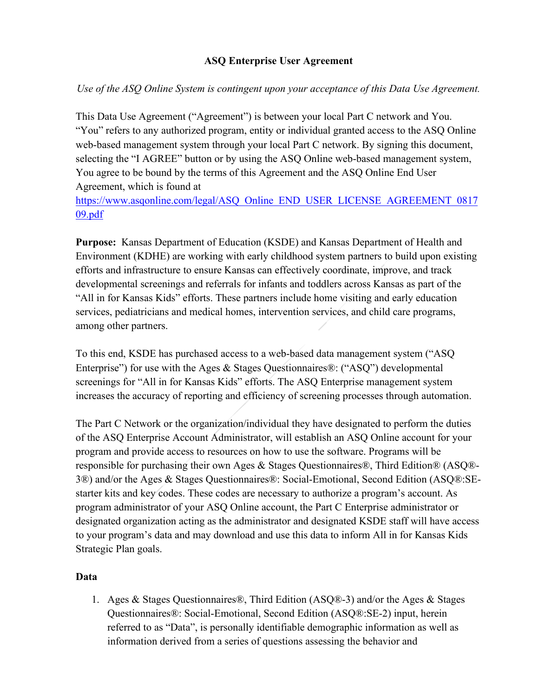### **ASQ Enterprise User Agreement**

*Use of the ASQ Online System is contingent upon your acceptance of this Data Use Agreement.* 

This Data Use Agreement ("Agreement") is between your local Part C network and You. "You" refers to any authorized program, entity or individual granted access to the ASQ Online web-based management system through your local Part C network. By signing this document, selecting the "I AGREE" button or by using the ASQ Online web-based management system, You agree to be bound by the terms of this Agreement and the ASQ Online End User Agreement, which is found at

[https://www.asqonline.com/legal/ASQ\\_Online\\_END\\_USER\\_LICENSE\\_AGREEMENT\\_0817](https://www.asqonline.com/legal/ASQ_Online_END_USER_LICENSE_AGREEMENT_081709.pdf) [09.pdf](https://www.asqonline.com/legal/ASQ_Online_END_USER_LICENSE_AGREEMENT_081709.pdf)

**Purpose:** Kansas Department of Education (KSDE) and Kansas Department of Health and Environment (KDHE) are working with early childhood system partners to build upon existing efforts and infrastructure to ensure Kansas can effectively coordinate, improve, and track developmental screenings and referrals for infants and toddlers across Kansas as part of the "All in for Kansas Kids" efforts. These partners include home visiting and early education services, pediatricians and medical homes, intervention services, and child care programs, among other partners.

To this end, KSDE has purchased access to a web-based data management system ("ASQ Enterprise") for use with the Ages & Stages Questionnaires®: ("ASQ") developmental screenings for "All in for Kansas Kids" efforts. The ASQ Enterprise management system increases the accuracy of reporting and efficiency of screening processes through automation.

The Part C Network or the organization/individual they have designated to perform the duties of the ASQ Enterprise Account Administrator, will establish an ASQ Online account for your program and provide access to resources on how to use the software. Programs will be responsible for purchasing their own Ages & Stages Questionnaires®, Third Edition® (ASQ®- 3®) and/or the Ages & Stages Questionnaires®: Social-Emotional, Second Edition (ASQ®:SEstarter kits and key codes. These codes are necessary to authorize a program's account. As program administrator of your ASQ Online account, the Part C Enterprise administrator or designated organization acting as the administrator and designated KSDE staff will have access to your program's data and may download and use this data to inform All in for Kansas Kids Strategic Plan goals.

#### **Data**

1. Ages & Stages Questionnaires®, Third Edition (ASQ®-3) and/or the Ages & Stages Questionnaires®: Social-Emotional, Second Edition (ASQ®:SE-2) input, herein referred to as "Data", is personally identifiable demographic information as well as information derived from a series of questions assessing the behavior and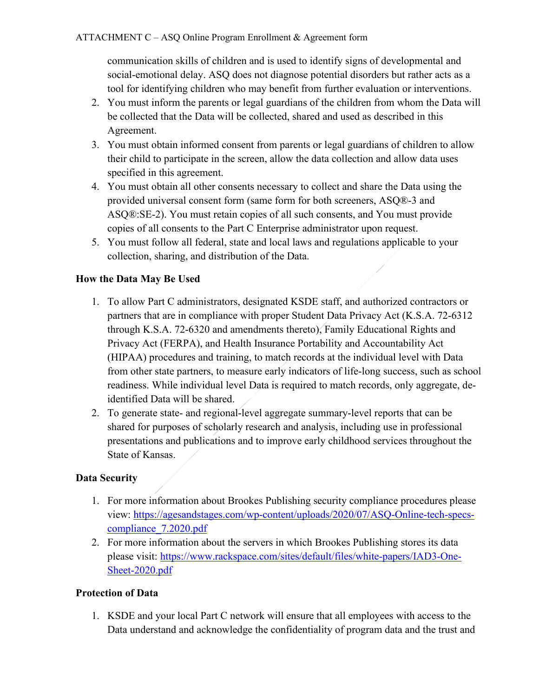communication skills of children and is used to identify signs of developmental and social-emotional delay. ASQ does not diagnose potential disorders but rather acts as a tool for identifying children who may benefit from further evaluation or interventions.

- 2. You must inform the parents or legal guardians of the children from whom the Data will be collected that the Data will be collected, shared and used as described in this Agreement.
- 3. You must obtain informed consent from parents or legal guardians of children to allow their child to participate in the screen, allow the data collection and allow data uses specified in this agreement.
- 4. You must obtain all other consents necessary to collect and share the Data using the provided universal consent form (same form for both screeners, ASQ®-3 and ASQ®:SE-2). You must retain copies of all such consents, and You must provide copies of all consents to the Part C Enterprise administrator upon request.
- 5. You must follow all federal, state and local laws and regulations applicable to your collection, sharing, and distribution of the Data.

# **How the Data May Be Used**

- 1. To allow Part C administrators, designated KSDE staff, and authorized contractors or partners that are in compliance with proper Student Data Privacy Act (K.S.A. 72-6312 through K.S.A. 72-6320 and amendments thereto), Family Educational Rights and Privacy Act (FERPA), and Health Insurance Portability and Accountability Act (HIPAA) procedures and training, to match records at the individual level with Data from other state partners, to measure early indicators of life-long success, such as school readiness. While individual level Data is required to match records, only aggregate, deidentified Data will be shared.
- 2. To generate state- and regional-level aggregate summary-level reports that can be shared for purposes of scholarly research and analysis, including use in professional presentations and publications and to improve early childhood services throughout the State of Kansas.

## **Data Security**

- 1. For more information about Brookes Publishing security compliance procedures please view: [https://agesandstages.com/wp-content/uploads/2020/07/ASQ-Online-tech-specs](https://agesandstages.com/wp-content/uploads/2020/07/ASQ-Online-tech-specs-compliance_7.2020.pdf)[compliance\\_7.2020.pdf](https://agesandstages.com/wp-content/uploads/2020/07/ASQ-Online-tech-specs-compliance_7.2020.pdf)
- 2. For more information about the servers in which Brookes Publishing stores its data please visit: [https://www.rackspace.com/sites/default/files/white-papers/IAD3-One-](https://www.rackspace.com/sites/default/files/white-papers/IAD3-One-Sheet-2020.pdf)[Sheet-2020.pdf](https://www.rackspace.com/sites/default/files/white-papers/IAD3-One-Sheet-2020.pdf)

## **Protection of Data**

1. KSDE and your local Part C network will ensure that all employees with access to the Data understand and acknowledge the confidentiality of program data and the trust and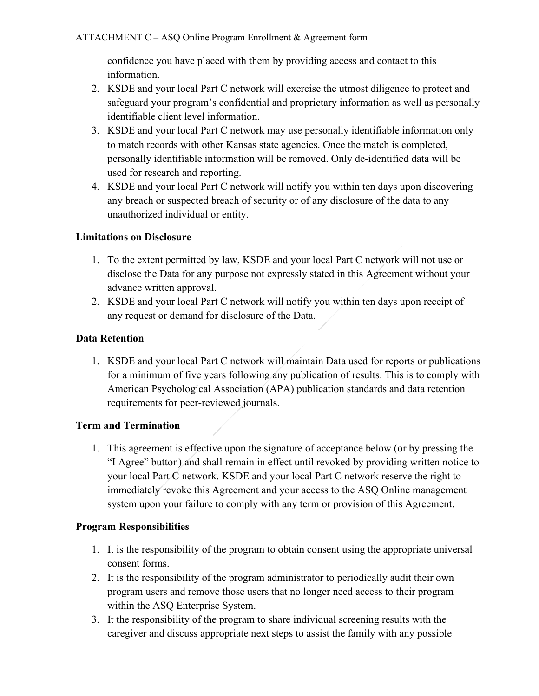confidence you have placed with them by providing access and contact to this information.

- 2. KSDE and your local Part C network will exercise the utmost diligence to protect and safeguard your program's confidential and proprietary information as well as personally identifiable client level information.
- 3. KSDE and your local Part C network may use personally identifiable information only to match records with other Kansas state agencies. Once the match is completed, personally identifiable information will be removed. Only de-identified data will be used for research and reporting.
- 4. KSDE and your local Part C network will notify you within ten days upon discovering any breach or suspected breach of security or of any disclosure of the data to any unauthorized individual or entity.

### **Limitations on Disclosure**

- 1. To the extent permitted by law, KSDE and your local Part C network will not use or disclose the Data for any purpose not expressly stated in this Agreement without your advance written approval.
- 2. KSDE and your local Part C network will notify you within ten days upon receipt of any request or demand for disclosure of the Data.

### **Data Retention**

1. KSDE and your local Part C network will maintain Data used for reports or publications for a minimum of five years following any publication of results. This is to comply with American Psychological Association (APA) publication standards and data retention requirements for peer-reviewed journals.

## **Term and Termination**

1. This agreement is effective upon the signature of acceptance below (or by pressing the "I Agree" button) and shall remain in effect until revoked by providing written notice to your local Part C network. KSDE and your local Part C network reserve the right to immediately revoke this Agreement and your access to the ASQ Online management system upon your failure to comply with any term or provision of this Agreement.

#### **Program Responsibilities**

- 1. It is the responsibility of the program to obtain consent using the appropriate universal consent forms.
- 2. It is the responsibility of the program administrator to periodically audit their own program users and remove those users that no longer need access to their program within the ASQ Enterprise System.
- 3. It the responsibility of the program to share individual screening results with the caregiver and discuss appropriate next steps to assist the family with any possible